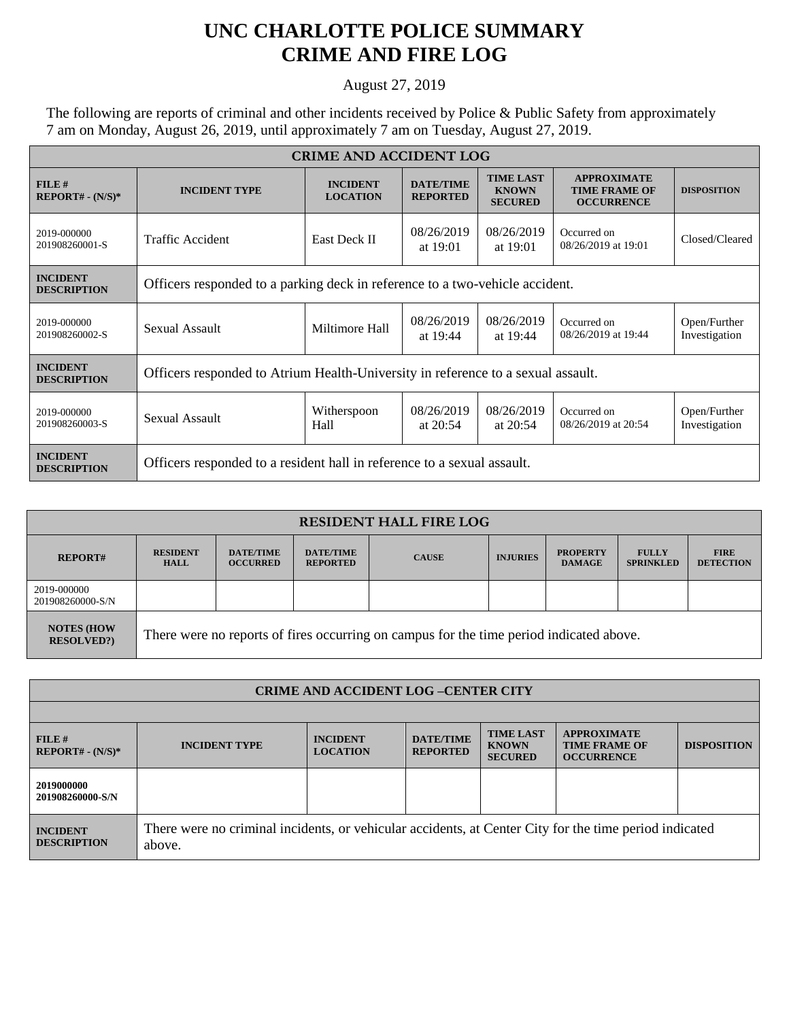## **UNC CHARLOTTE POLICE SUMMARY CRIME AND FIRE LOG**

August 27, 2019

The following are reports of criminal and other incidents received by Police & Public Safety from approximately 7 am on Monday, August 26, 2019, until approximately 7 am on Tuesday, August 27, 2019.

| <b>CRIME AND ACCIDENT LOG</b>         |                                                                                  |                                    |                                     |                                                    |                                                                 |                               |  |
|---------------------------------------|----------------------------------------------------------------------------------|------------------------------------|-------------------------------------|----------------------------------------------------|-----------------------------------------------------------------|-------------------------------|--|
| FILE#<br>$REPORT# - (N/S)*$           | <b>INCIDENT TYPE</b>                                                             | <b>INCIDENT</b><br><b>LOCATION</b> | <b>DATE/TIME</b><br><b>REPORTED</b> | <b>TIME LAST</b><br><b>KNOWN</b><br><b>SECURED</b> | <b>APPROXIMATE</b><br><b>TIME FRAME OF</b><br><b>OCCURRENCE</b> | <b>DISPOSITION</b>            |  |
| 2019-000000<br>201908260001-S         | <b>Traffic Accident</b>                                                          | East Deck II                       | 08/26/2019<br>at 19:01              | 08/26/2019<br>at 19:01                             | Occurred on<br>08/26/2019 at 19:01                              | Closed/Cleared                |  |
| <b>INCIDENT</b><br><b>DESCRIPTION</b> | Officers responded to a parking deck in reference to a two-vehicle accident.     |                                    |                                     |                                                    |                                                                 |                               |  |
| 2019-000000<br>201908260002-S         | Sexual Assault                                                                   | Miltimore Hall                     | 08/26/2019<br>at 19:44              | 08/26/2019<br>at 19:44                             | Occurred on<br>08/26/2019 at 19:44                              | Open/Further<br>Investigation |  |
| <b>INCIDENT</b><br><b>DESCRIPTION</b> | Officers responded to Atrium Health-University in reference to a sexual assault. |                                    |                                     |                                                    |                                                                 |                               |  |
| 2019-000000<br>201908260003-S         | <b>Sexual Assault</b>                                                            | Witherspoon<br>Hall                | 08/26/2019<br>at $20:54$            | 08/26/2019<br>at $20:54$                           | Occurred on<br>08/26/2019 at 20:54                              | Open/Further<br>Investigation |  |
| <b>INCIDENT</b><br><b>DESCRIPTION</b> | Officers responded to a resident hall in reference to a sexual assault.          |                                    |                                     |                                                    |                                                                 |                               |  |

| <b>RESIDENT HALL FIRE LOG</b>         |                                                                                         |                                     |                                     |              |                 |                                  |                                  |                                 |
|---------------------------------------|-----------------------------------------------------------------------------------------|-------------------------------------|-------------------------------------|--------------|-----------------|----------------------------------|----------------------------------|---------------------------------|
| <b>REPORT#</b>                        | <b>RESIDENT</b><br><b>HALL</b>                                                          | <b>DATE/TIME</b><br><b>OCCURRED</b> | <b>DATE/TIME</b><br><b>REPORTED</b> | <b>CAUSE</b> | <b>INJURIES</b> | <b>PROPERTY</b><br><b>DAMAGE</b> | <b>FULLY</b><br><b>SPRINKLED</b> | <b>FIRE</b><br><b>DETECTION</b> |
| 2019-000000<br>201908260000-S/N       |                                                                                         |                                     |                                     |              |                 |                                  |                                  |                                 |
| <b>NOTES (HOW</b><br><b>RESOLVED?</b> | There were no reports of fires occurring on campus for the time period indicated above. |                                     |                                     |              |                 |                                  |                                  |                                 |

| <b>CRIME AND ACCIDENT LOG-CENTER CITY</b> |                                                                                                                  |                                    |                                     |                                                    |                                                                 |                    |
|-------------------------------------------|------------------------------------------------------------------------------------------------------------------|------------------------------------|-------------------------------------|----------------------------------------------------|-----------------------------------------------------------------|--------------------|
|                                           |                                                                                                                  |                                    |                                     |                                                    |                                                                 |                    |
| $FILE$ #<br>$REPORT# - (N/S)*$            | <b>INCIDENT TYPE</b>                                                                                             | <b>INCIDENT</b><br><b>LOCATION</b> | <b>DATE/TIME</b><br><b>REPORTED</b> | <b>TIME LAST</b><br><b>KNOWN</b><br><b>SECURED</b> | <b>APPROXIMATE</b><br><b>TIME FRAME OF</b><br><b>OCCURRENCE</b> | <b>DISPOSITION</b> |
| 2019000000<br>201908260000-S/N            |                                                                                                                  |                                    |                                     |                                                    |                                                                 |                    |
| <b>INCIDENT</b><br><b>DESCRIPTION</b>     | There were no criminal incidents, or vehicular accidents, at Center City for the time period indicated<br>above. |                                    |                                     |                                                    |                                                                 |                    |